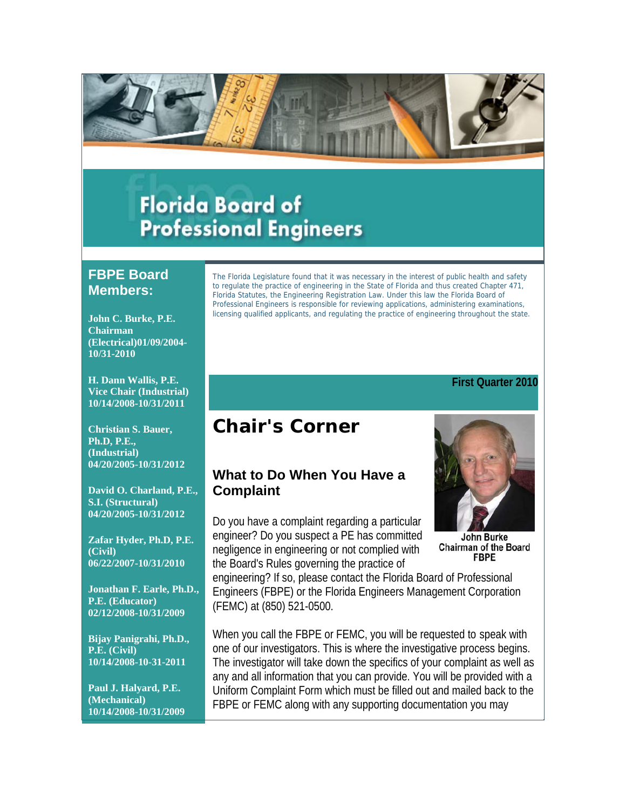

# **Florida Board of Professional Engineers**

## **FBPE Board Members:**

**John C. Burke, P.E. Chairman (Electrical)01/09/2004- 10/31-2010**

**H. Dann Wallis, P.E. Vice Chair (Industrial) 10/14/2008-10/31/2011**

**Christian S. Bauer, Ph.D, P.E., (Industrial) 04/20/2005-10/31/2012**

**David O. Charland, P.E., S.I. (Structural) 04/20/2005-10/31/2012**

**Zafar Hyder, Ph.D, P.E. (Civil) 06/22/2007-10/31/2010**

**Jonathan F. Earle, Ph.D., P.E. (Educator) 02/12/2008-10/31/2009**

**Bijay Panigrahi, Ph.D., P.E. (Civil) 10/14/2008-10-31-2011**

**Paul J. Halyard, P.E. (Mechanical) 10/14/2008-10/31/2009** The Florida Legislature found that it was necessary in the interest of public health and safety to regulate the practice of engineering in the State of Florida and thus created Chapter 471, Florida Statutes, the Engineering Registration Law. Under this law the Florida Board of Professional Engineers is responsible for reviewing applications, administering examinations, licensing qualified applicants, and regulating the practice of engineering throughout the state.

#### **First Quarter 2010**

## **Chair's Corner**

## **What to Do When You Have a Complaint**

Do you have a complaint regarding a particular engineer? Do you suspect a PE has committed negligence in engineering or not complied with the Board's Rules governing the practice of

John Burke

**Chairman of the Board FBPE** 

engineering? If so, please contact the Florida Board of Professional Engineers (FBPE) or the Florida Engineers Management Corporation (FEMC) at (850) 521-0500.

When you call the FBPE or FEMC, you will be requested to speak with one of our investigators. This is where the investigative process begins. The investigator will take down the specifics of your complaint as well as any and all information that you can provide. You will be provided with a Uniform Complaint Form which must be filled out and mailed back to the FBPE or FEMC along with any supporting documentation you may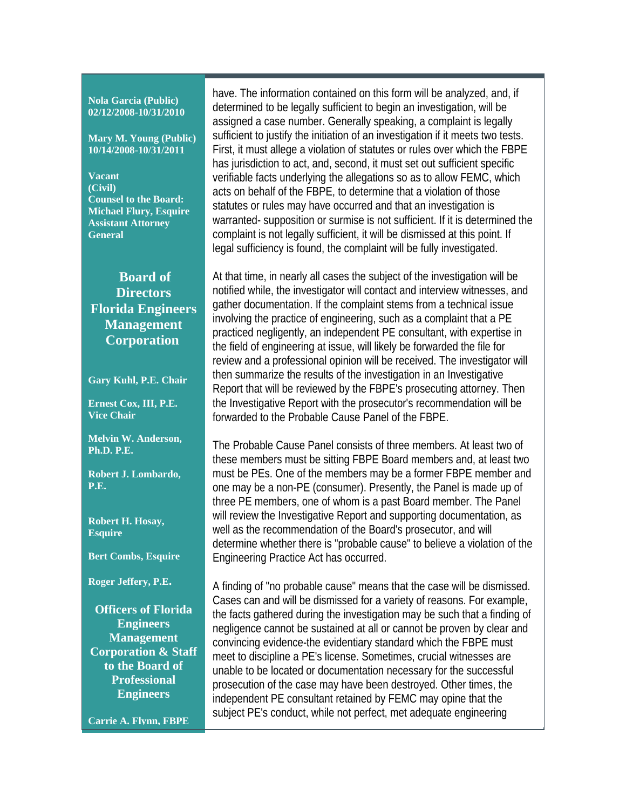#### **Nola Garcia (Public) 02/12/2008-10/31/2010**

**Mary M. Young (Public) 10/14/2008-10/31/2011**

**Vacant (Civil) Counsel to the Board: Michael Flury, Esquire Assistant Attorney General**

## **Board of Directors Florida Engineers Management Corporation**

**Gary Kuhl, P.E. Chair** 

**Ernest Cox, III, P.E. Vice Chair** 

**Melvin W. Anderson, Ph.D. P.E.** 

**Robert J. Lombardo, P.E.** 

**Robert H. Hosay, Esquire** 

**Bert Combs, Esquire** 

**Roger Jeffery, P.E.**

**Officers of Florida Engineers Management Corporation & Staff to the Board of Professional Engineers**

**Carrie A. Flynn, FBPE** 

have. The information contained on this form will be analyzed, and, if determined to be legally sufficient to begin an investigation, will be assigned a case number. Generally speaking, a complaint is legally sufficient to justify the initiation of an investigation if it meets two tests. First, it must allege a violation of statutes or rules over which the FBPE has jurisdiction to act, and, second, it must set out sufficient specific verifiable facts underlying the allegations so as to allow FEMC, which acts on behalf of the FBPE, to determine that a violation of those statutes or rules may have occurred and that an investigation is warranted- supposition or surmise is not sufficient. If it is determined the complaint is not legally sufficient, it will be dismissed at this point. If legal sufficiency is found, the complaint will be fully investigated.

At that time, in nearly all cases the subject of the investigation will be notified while, the investigator will contact and interview witnesses, and gather documentation. If the complaint stems from a technical issue involving the practice of engineering, such as a complaint that a PE practiced negligently, an independent PE consultant, with expertise in the field of engineering at issue, will likely be forwarded the file for review and a professional opinion will be received. The investigator will then summarize the results of the investigation in an Investigative Report that will be reviewed by the FBPE's prosecuting attorney. Then the Investigative Report with the prosecutor's recommendation will be forwarded to the Probable Cause Panel of the FBPE.

The Probable Cause Panel consists of three members. At least two of these members must be sitting FBPE Board members and, at least two must be PEs. One of the members may be a former FBPE member and one may be a non-PE (consumer). Presently, the Panel is made up of three PE members, one of whom is a past Board member. The Panel will review the Investigative Report and supporting documentation, as well as the recommendation of the Board's prosecutor, and will determine whether there is "probable cause" to believe a violation of the Engineering Practice Act has occurred.

A finding of "no probable cause" means that the case will be dismissed. Cases can and will be dismissed for a variety of reasons. For example, the facts gathered during the investigation may be such that a finding of negligence cannot be sustained at all or cannot be proven by clear and convincing evidence-the evidentiary standard which the FBPE must meet to discipline a PE's license. Sometimes, crucial witnesses are unable to be located or documentation necessary for the successful prosecution of the case may have been destroyed. Other times, the independent PE consultant retained by FEMC may opine that the subject PE's conduct, while not perfect, met adequate engineering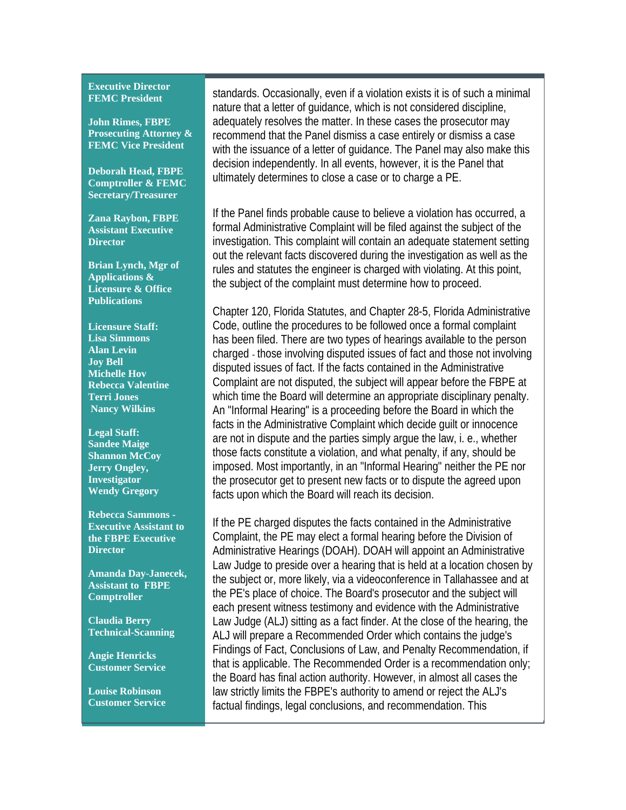#### **Executive Director FEMC President**

**John Rimes, FBPE Prosecuting Attorney & FEMC Vice President**

**Deborah Head, FBPE Comptroller & FEMC Secretary/Treasurer**

**Zana Raybon, FBPE Assistant Executive Director**

**Brian Lynch, Mgr of Applications & Licensure & Office Publications**

**Licensure Staff: Lisa Simmons Alan Levin Joy Bell Michelle Hov Rebecca Valentine Terri Jones Nancy Wilkins**

**Legal Staff: Sandee Maige Shannon McCoy Jerry Ongley, Investigator Wendy Gregory** 

**Rebecca Sammons - Executive Assistant to the FBPE Executive Director**

**Amanda Day-Janecek, Assistant to FBPE Comptroller**

**Claudia Berry Technical-Scanning** 

**Angie Henricks Customer Service** 

**Louise Robinson Customer Service** standards. Occasionally, even if a violation exists it is of such a minimal nature that a letter of guidance, which is not considered discipline, adequately resolves the matter. In these cases the prosecutor may recommend that the Panel dismiss a case entirely or dismiss a case with the issuance of a letter of guidance. The Panel may also make this decision independently. In all events, however, it is the Panel that ultimately determines to close a case or to charge a PE.

If the Panel finds probable cause to believe a violation has occurred, a formal Administrative Complaint will be filed against the subject of the investigation. This complaint will contain an adequate statement setting out the relevant facts discovered during the investigation as well as the rules and statutes the engineer is charged with violating. At this point, the subject of the complaint must determine how to proceed.

Chapter 120, Florida Statutes, and Chapter 28-5, Florida Administrative Code, outline the procedures to be followed once a formal complaint has been filed. There are two types of hearings available to the person charged - those involving disputed issues of fact and those not involving disputed issues of fact. If the facts contained in the Administrative Complaint are not disputed, the subject will appear before the FBPE at which time the Board will determine an appropriate disciplinary penalty. An "Informal Hearing" is a proceeding before the Board in which the facts in the Administrative Complaint which decide guilt or innocence are not in dispute and the parties simply argue the law, i. e., whether those facts constitute a violation, and what penalty, if any, should be imposed. Most importantly, in an "Informal Hearing" neither the PE nor the prosecutor get to present new facts or to dispute the agreed upon facts upon which the Board will reach its decision.

If the PE charged disputes the facts contained in the Administrative Complaint, the PE may elect a formal hearing before the Division of Administrative Hearings (DOAH). DOAH will appoint an Administrative Law Judge to preside over a hearing that is held at a location chosen by the subject or, more likely, via a videoconference in Tallahassee and at the PE's place of choice. The Board's prosecutor and the subject will each present witness testimony and evidence with the Administrative Law Judge (ALJ) sitting as a fact finder. At the close of the hearing, the ALJ will prepare a Recommended Order which contains the judge's Findings of Fact, Conclusions of Law, and Penalty Recommendation, if that is applicable. The Recommended Order is a recommendation only; the Board has final action authority. However, in almost all cases the law strictly limits the FBPE's authority to amend or reject the ALJ's factual findings, legal conclusions, and recommendation. This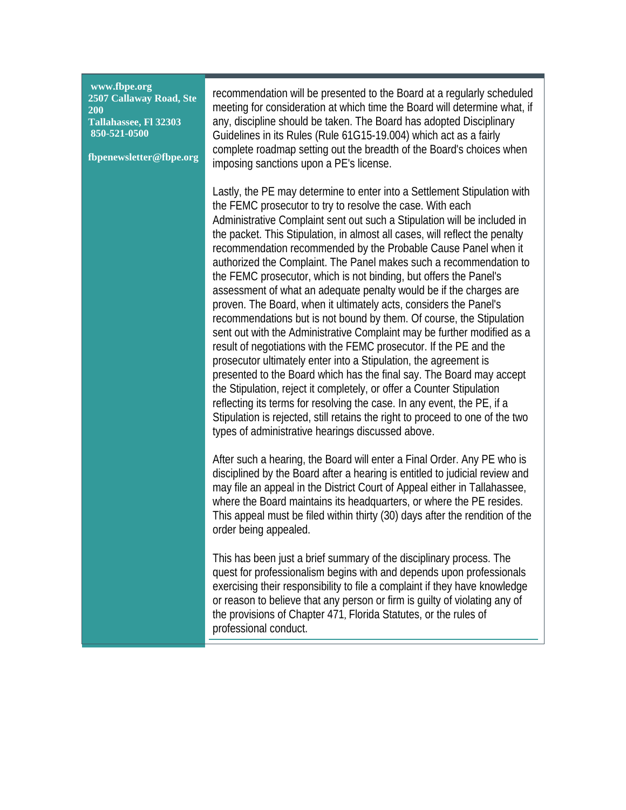| www.fbpe.org<br>2507 Callaway Road, Ste<br><b>200</b><br>Tallahassee, Fl 32303<br>850-521-0500<br>fbpenewsletter@fbpe.org | recommendation will be presented to the Board at a regularly scheduled<br>meeting for consideration at which time the Board will determine what, if<br>any, discipline should be taken. The Board has adopted Disciplinary<br>Guidelines in its Rules (Rule 61G15-19.004) which act as a fairly<br>complete roadmap setting out the breadth of the Board's choices when<br>imposing sanctions upon a PE's license.                                                                                                                                                                                                                                                                                                                                                                                                                                                                                                                                                                                                                                                                                                                                                                                                                                                                                                      |
|---------------------------------------------------------------------------------------------------------------------------|-------------------------------------------------------------------------------------------------------------------------------------------------------------------------------------------------------------------------------------------------------------------------------------------------------------------------------------------------------------------------------------------------------------------------------------------------------------------------------------------------------------------------------------------------------------------------------------------------------------------------------------------------------------------------------------------------------------------------------------------------------------------------------------------------------------------------------------------------------------------------------------------------------------------------------------------------------------------------------------------------------------------------------------------------------------------------------------------------------------------------------------------------------------------------------------------------------------------------------------------------------------------------------------------------------------------------|
|                                                                                                                           | Lastly, the PE may determine to enter into a Settlement Stipulation with<br>the FEMC prosecutor to try to resolve the case. With each<br>Administrative Complaint sent out such a Stipulation will be included in<br>the packet. This Stipulation, in almost all cases, will reflect the penalty<br>recommendation recommended by the Probable Cause Panel when it<br>authorized the Complaint. The Panel makes such a recommendation to<br>the FEMC prosecutor, which is not binding, but offers the Panel's<br>assessment of what an adequate penalty would be if the charges are<br>proven. The Board, when it ultimately acts, considers the Panel's<br>recommendations but is not bound by them. Of course, the Stipulation<br>sent out with the Administrative Complaint may be further modified as a<br>result of negotiations with the FEMC prosecutor. If the PE and the<br>prosecutor ultimately enter into a Stipulation, the agreement is<br>presented to the Board which has the final say. The Board may accept<br>the Stipulation, reject it completely, or offer a Counter Stipulation<br>reflecting its terms for resolving the case. In any event, the PE, if a<br>Stipulation is rejected, still retains the right to proceed to one of the two<br>types of administrative hearings discussed above. |
|                                                                                                                           | After such a hearing, the Board will enter a Final Order. Any PE who is<br>disciplined by the Board after a hearing is entitled to judicial review and<br>may file an appeal in the District Court of Appeal either in Tallahassee,<br>where the Board maintains its headquarters, or where the PE resides.<br>This appeal must be filed within thirty (30) days after the rendition of the<br>order being appealed.                                                                                                                                                                                                                                                                                                                                                                                                                                                                                                                                                                                                                                                                                                                                                                                                                                                                                                    |
|                                                                                                                           | This has been just a brief summary of the disciplinary process. The<br>quest for professionalism begins with and depends upon professionals<br>exercising their responsibility to file a complaint if they have knowledge<br>or reason to believe that any person or firm is guilty of violating any of<br>the provisions of Chapter 471, Florida Statutes, or the rules of<br>professional conduct.                                                                                                                                                                                                                                                                                                                                                                                                                                                                                                                                                                                                                                                                                                                                                                                                                                                                                                                    |

 $\sim$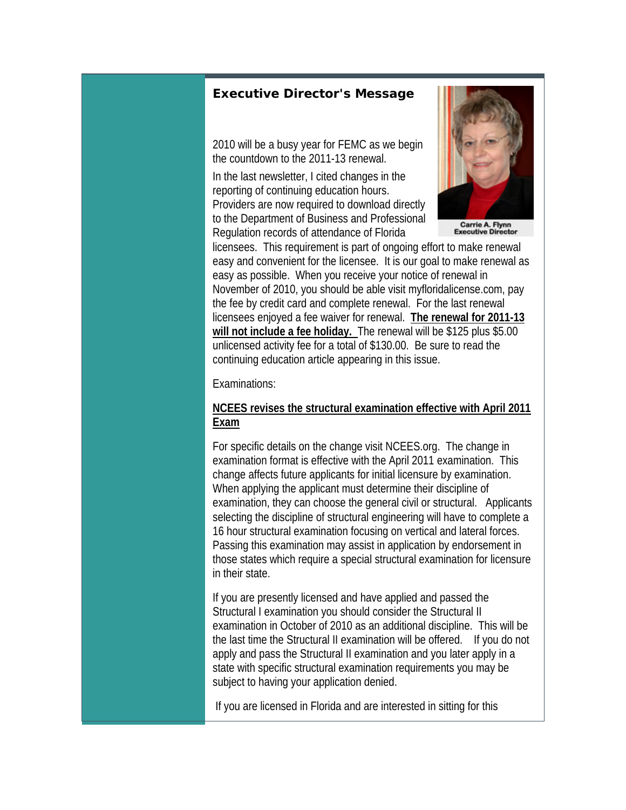#### *Executive Director's Message*

2010 will be a busy year for FEMC as we begin the countdown to the 2011-13 renewal.

In the last newsletter, I cited changes in the reporting of continuing education hours. Providers are now required to download directly to the Department of Business and Professional Regulation records of attendance of Florida



Carrie A. Flynn<br>Executive Director

licensees. This requirement is part of ongoing effort to make renewal easy and convenient for the licensee. It is our goal to make renewal as easy as possible. When you receive your notice of renewal in November of 2010, you should be able visit myfloridalicense.com, pay the fee by credit card and complete renewal. For the last renewal licensees enjoyed a fee waiver for renewal. **The renewal for 2011-13 will not include a fee holiday.** The renewal will be \$125 plus \$5.00 unlicensed activity fee for a total of \$130.00. Be sure to read the continuing education article appearing in this issue.

Examinations:

#### **NCEES revises the structural examination effective with April 2011 Exam**

For specific details on the change visit NCEES.org. The change in examination format is effective with the April 2011 examination. This change affects future applicants for initial licensure by examination. When applying the applicant must determine their discipline of examination, they can choose the general civil or structural. Applicants selecting the discipline of structural engineering will have to complete a 16 hour structural examination focusing on vertical and lateral forces. Passing this examination may assist in application by endorsement in those states which require a special structural examination for licensure in their state.

If you are presently licensed and have applied and passed the Structural I examination you should consider the Structural II examination in October of 2010 as an additional discipline. This will be the last time the Structural II examination will be offered. If you do not apply and pass the Structural II examination and you later apply in a state with specific structural examination requirements you may be subject to having your application denied.

If you are licensed in Florida and are interested in sitting for this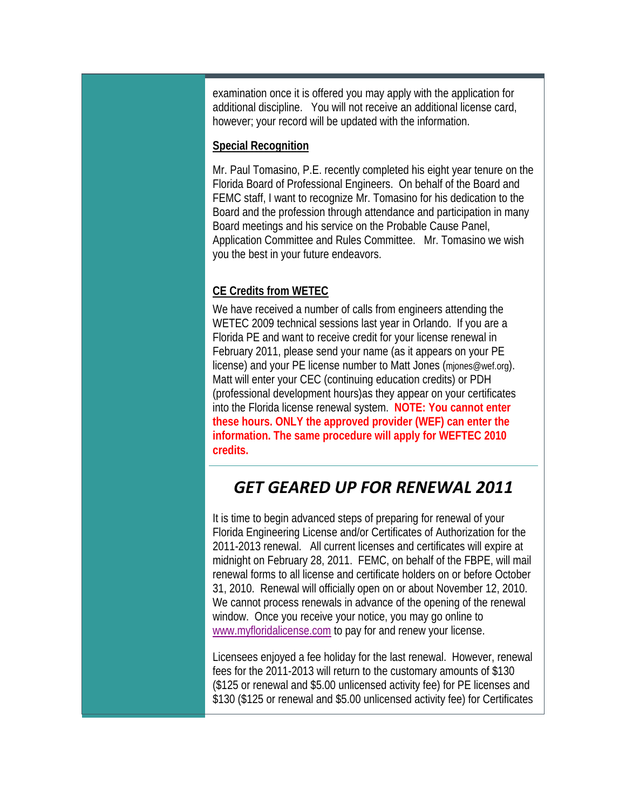examination once it is offered you may apply with the application for additional discipline. You will not receive an additional license card, however; your record will be updated with the information.

#### **Special Recognition**

Mr. Paul Tomasino, P.E. recently completed his eight year tenure on the Florida Board of Professional Engineers. On behalf of the Board and FEMC staff, I want to recognize Mr. Tomasino for his dedication to the Board and the profession through attendance and participation in many Board meetings and his service on the Probable Cause Panel, Application Committee and Rules Committee. Mr. Tomasino we wish you the best in your future endeavors.

### **CE Credits from WETEC**

We have received a number of calls from engineers attending the WETEC 2009 technical sessions last year in Orlando. If you are a Florida PE and want to receive credit for your license renewal in February 2011, please send your name (as it appears on your PE license) and your PE license number to Matt Jones (mjones@wef.org). Matt will enter your CEC (continuing education credits) or PDH (professional development hours)as they appear on your certificates into the Florida license renewal system. **NOTE: You cannot enter these hours. ONLY the approved provider (WEF) can enter the information. The same procedure will apply for WEFTEC 2010 credits.**

## *GET GEARED UP FOR RENEWAL 2011*

It is time to begin advanced steps of preparing for renewal of your Florida Engineering License and/or Certificates of Authorization for the 2011-2013 renewal. All current licenses and certificates will expire at midnight on February 28, 2011. FEMC, on behalf of the FBPE, will mail renewal forms to all license and certificate holders on or before October 31, 2010. Renewal will officially open on or about November 12, 2010. We cannot process renewals in advance of the opening of the renewal window. Once you receive your notice, you may go online to www.myfloridalicense.com to pay for and renew your license.

Licensees enjoyed a fee holiday for the last renewal. However, renewal fees for the 2011-2013 will return to the customary amounts of \$130 (\$125 or renewal and \$5.00 unlicensed activity fee) for PE licenses and \$130 (\$125 or renewal and \$5.00 unlicensed activity fee) for Certificates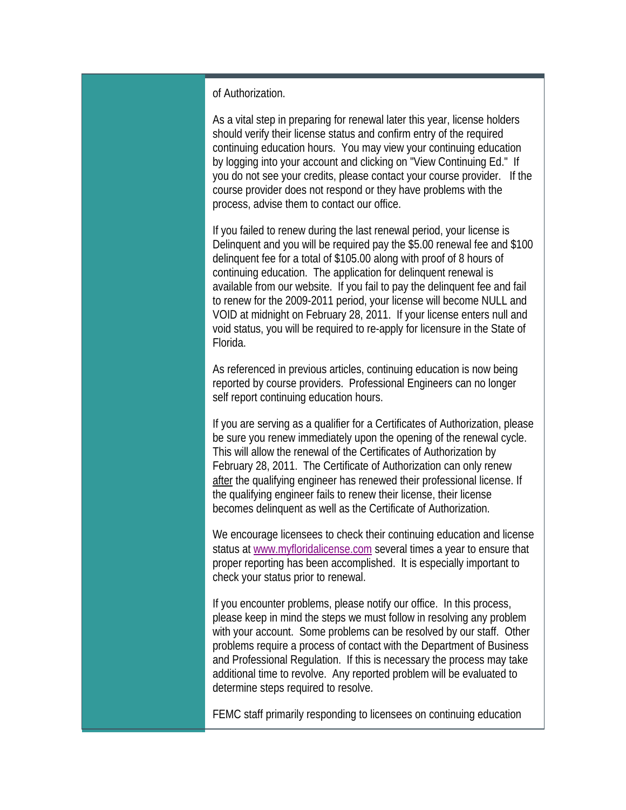#### of Authorization.

As a vital step in preparing for renewal later this year, license holders should verify their license status and confirm entry of the required continuing education hours. You may view your continuing education by logging into your account and clicking on "View Continuing Ed." If you do not see your credits, please contact your course provider. If the course provider does not respond or they have problems with the process, advise them to contact our office.

If you failed to renew during the last renewal period, your license is Delinquent and you will be required pay the \$5.00 renewal fee and \$100 delinquent fee for a total of \$105.00 along with proof of 8 hours of continuing education. The application for delinquent renewal is available from our website. If you fail to pay the delinquent fee and fail to renew for the 2009-2011 period, your license will become NULL and VOID at midnight on February 28, 2011. If your license enters null and void status, you will be required to re-apply for licensure in the State of Florida.

As referenced in previous articles, continuing education is now being reported by course providers. Professional Engineers can no longer self report continuing education hours.

If you are serving as a qualifier for a Certificates of Authorization, please be sure you renew immediately upon the opening of the renewal cycle. This will allow the renewal of the Certificates of Authorization by February 28, 2011. The Certificate of Authorization can only renew after the qualifying engineer has renewed their professional license. If the qualifying engineer fails to renew their license, their license becomes delinquent as well as the Certificate of Authorization.

We encourage licensees to check their continuing education and license status at www.myfloridalicense.com several times a year to ensure that proper reporting has been accomplished. It is especially important to check your status prior to renewal.

If you encounter problems, please notify our office. In this process, please keep in mind the steps we must follow in resolving any problem with your account. Some problems can be resolved by our staff. Other problems require a process of contact with the Department of Business and Professional Regulation. If this is necessary the process may take additional time to revolve. Any reported problem will be evaluated to determine steps required to resolve.

FEMC staff primarily responding to licensees on continuing education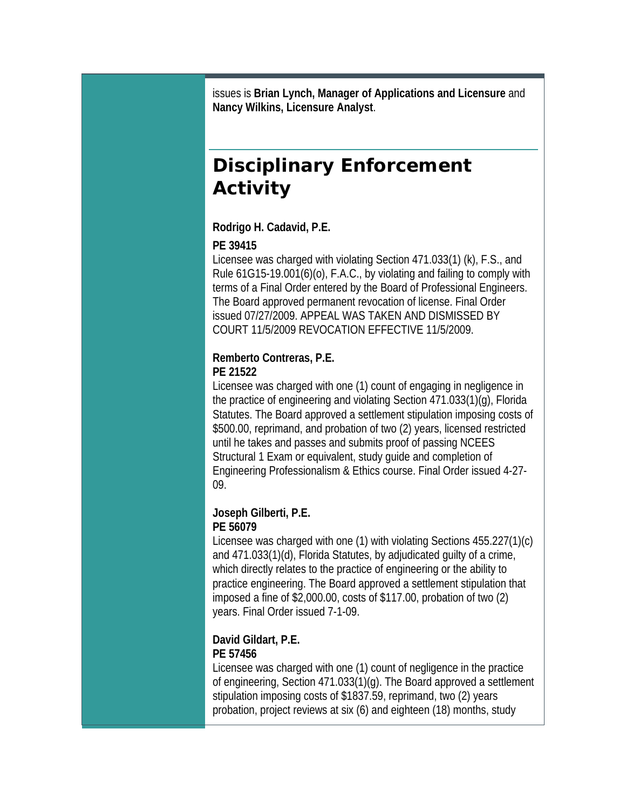issues is **Brian Lynch, Manager of Applications and Licensure** and **Nancy Wilkins, Licensure Analyst**.

# **Disciplinary Enforcement Activity**

#### **Rodrigo H. Cadavid, P.E.**

#### **PE 39415**

Licensee was charged with violating Section 471.033(1) (k), F.S., and Rule 61G15-19.001(6)(o), F.A.C., by violating and failing to comply with terms of a Final Order entered by the Board of Professional Engineers. The Board approved permanent revocation of license. Final Order issued 07/27/2009. APPEAL WAS TAKEN AND DISMISSED BY COURT 11/5/2009 REVOCATION EFFECTIVE 11/5/2009.

# **Remberto Contreras, P.E.**

## **PE 21522**

Licensee was charged with one (1) count of engaging in negligence in the practice of engineering and violating Section 471.033(1)(g), Florida Statutes. The Board approved a settlement stipulation imposing costs of \$500.00, reprimand, and probation of two (2) years, licensed restricted until he takes and passes and submits proof of passing NCEES Structural 1 Exam or equivalent, study guide and completion of Engineering Professionalism & Ethics course. Final Order issued 4-27- 09.

#### **Joseph Gilberti, P.E. PE 56079**

Licensee was charged with one (1) with violating Sections 455.227(1)(c) and 471.033(1)(d), Florida Statutes, by adjudicated guilty of a crime, which directly relates to the practice of engineering or the ability to practice engineering. The Board approved a settlement stipulation that imposed a fine of \$2,000.00, costs of \$117.00, probation of two (2) years. Final Order issued 7-1-09.

#### **David Gildart, P.E. PE 57456**

Licensee was charged with one (1) count of negligence in the practice of engineering, Section 471.033(1)(g). The Board approved a settlement stipulation imposing costs of \$1837.59, reprimand, two (2) years probation, project reviews at six (6) and eighteen (18) months, study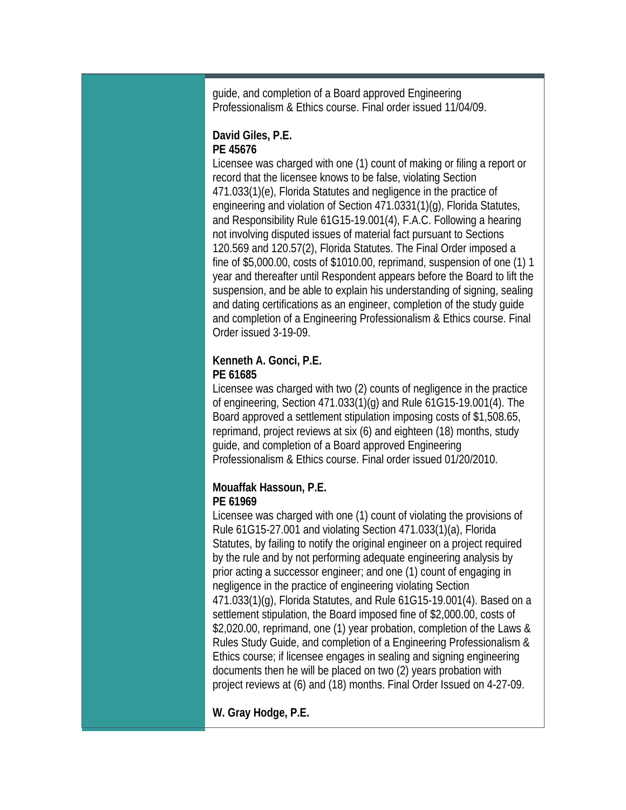guide, and completion of a Board approved Engineering Professionalism & Ethics course. Final order issued 11/04/09.

#### **David Giles, P.E. PE 45676**

Licensee was charged with one (1) count of making or filing a report or record that the licensee knows to be false, violating Section 471.033(1)(e), Florida Statutes and negligence in the practice of engineering and violation of Section 471.0331(1)(g), Florida Statutes, and Responsibility Rule 61G15-19.001(4), F.A.C. Following a hearing not involving disputed issues of material fact pursuant to Sections 120.569 and 120.57(2), Florida Statutes. The Final Order imposed a fine of \$5,000.00, costs of \$1010.00, reprimand, suspension of one (1) 1 year and thereafter until Respondent appears before the Board to lift the suspension, and be able to explain his understanding of signing, sealing and dating certifications as an engineer, completion of the study guide and completion of a Engineering Professionalism & Ethics course. Final Order issued 3-19-09.

#### **Kenneth A. Gonci, P.E. PE 61685**

Licensee was charged with two (2) counts of negligence in the practice of engineering, Section 471.033(1)(g) and Rule 61G15-19.001(4). The Board approved a settlement stipulation imposing costs of \$1,508.65, reprimand, project reviews at six (6) and eighteen (18) months, study guide, and completion of a Board approved Engineering Professionalism & Ethics course. Final order issued 01/20/2010.

#### **Mouaffak Hassoun, P.E. PE 61969**

Licensee was charged with one (1) count of violating the provisions of Rule 61G15-27.001 and violating Section 471.033(1)(a), Florida Statutes, by failing to notify the original engineer on a project required by the rule and by not performing adequate engineering analysis by prior acting a successor engineer; and one (1) count of engaging in negligence in the practice of engineering violating Section 471.033(1)(g), Florida Statutes, and Rule 61G15-19.001(4). Based on a settlement stipulation, the Board imposed fine of \$2,000.00, costs of \$2,020.00, reprimand, one (1) year probation, completion of the Laws & Rules Study Guide, and completion of a Engineering Professionalism & Ethics course; if licensee engages in sealing and signing engineering documents then he will be placed on two (2) years probation with project reviews at (6) and (18) months. Final Order Issued on 4-27-09.

**W. Gray Hodge, P.E.**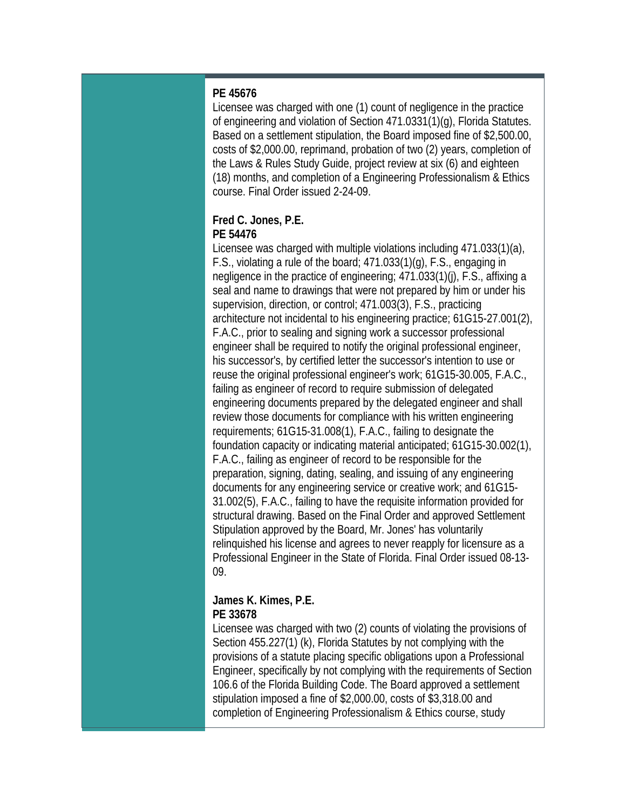#### **PE 45676**

Licensee was charged with one (1) count of negligence in the practice of engineering and violation of Section 471.0331(1)(g), Florida Statutes. Based on a settlement stipulation, the Board imposed fine of \$2,500.00, costs of \$2,000.00, reprimand, probation of two (2) years, completion of the Laws & Rules Study Guide, project review at six (6) and eighteen (18) months, and completion of a Engineering Professionalism & Ethics course. Final Order issued 2-24-09.

#### **Fred C. Jones, P.E. PE 54476**

Licensee was charged with multiple violations including 471.033(1)(a), F.S., violating a rule of the board; 471.033(1)(g), F.S., engaging in negligence in the practice of engineering; 471.033(1)(j), F.S., affixing a seal and name to drawings that were not prepared by him or under his supervision, direction, or control; 471.003(3), F.S., practicing architecture not incidental to his engineering practice; 61G15-27.001(2), F.A.C., prior to sealing and signing work a successor professional engineer shall be required to notify the original professional engineer, his successor's, by certified letter the successor's intention to use or reuse the original professional engineer's work; 61G15-30.005, F.A.C., failing as engineer of record to require submission of delegated engineering documents prepared by the delegated engineer and shall review those documents for compliance with his written engineering requirements; 61G15-31.008(1), F.A.C., failing to designate the foundation capacity or indicating material anticipated; 61G15-30.002(1), F.A.C., failing as engineer of record to be responsible for the preparation, signing, dating, sealing, and issuing of any engineering documents for any engineering service or creative work; and 61G15- 31.002(5), F.A.C., failing to have the requisite information provided for structural drawing. Based on the Final Order and approved Settlement Stipulation approved by the Board, Mr. Jones' has voluntarily relinquished his license and agrees to never reapply for licensure as a Professional Engineer in the State of Florida. Final Order issued 08-13- 09.

#### **James K. Kimes, P.E. PE 33678**

Licensee was charged with two (2) counts of violating the provisions of Section 455.227(1) (k), Florida Statutes by not complying with the provisions of a statute placing specific obligations upon a Professional Engineer, specifically by not complying with the requirements of Section 106.6 of the Florida Building Code. The Board approved a settlement stipulation imposed a fine of \$2,000.00, costs of \$3,318.00 and completion of Engineering Professionalism & Ethics course, study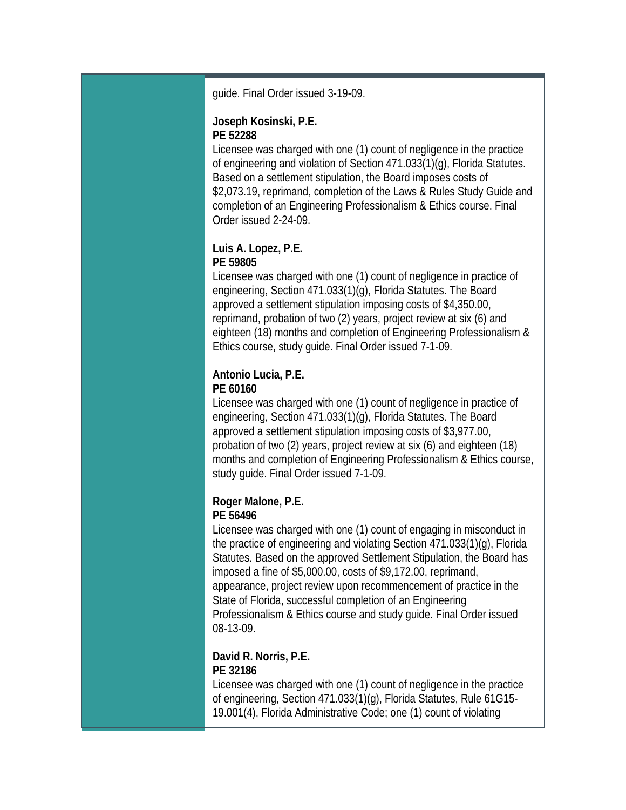guide. Final Order issued 3-19-09.

#### **Joseph Kosinski, P.E. PE 52288**

Licensee was charged with one (1) count of negligence in the practice of engineering and violation of Section 471.033(1)(g), Florida Statutes. Based on a settlement stipulation, the Board imposes costs of \$2,073.19, reprimand, completion of the Laws & Rules Study Guide and completion of an Engineering Professionalism & Ethics course. Final Order issued 2-24-09.

#### **Luis A. Lopez, P.E. PE 59805**

Licensee was charged with one (1) count of negligence in practice of engineering, Section 471.033(1)(g), Florida Statutes. The Board approved a settlement stipulation imposing costs of \$4,350.00, reprimand, probation of two (2) years, project review at six (6) and eighteen (18) months and completion of Engineering Professionalism & Ethics course, study guide. Final Order issued 7-1-09.

## **Antonio Lucia, P.E.**

#### **PE 60160**

Licensee was charged with one (1) count of negligence in practice of engineering, Section 471.033(1)(g), Florida Statutes. The Board approved a settlement stipulation imposing costs of \$3,977.00, probation of two (2) years, project review at six (6) and eighteen (18) months and completion of Engineering Professionalism & Ethics course, study guide. Final Order issued 7-1-09.

#### **Roger Malone, P.E. PE 56496**

Licensee was charged with one (1) count of engaging in misconduct in the practice of engineering and violating Section 471.033(1)(g), Florida Statutes. Based on the approved Settlement Stipulation, the Board has imposed a fine of \$5,000.00, costs of \$9,172.00, reprimand, appearance, project review upon recommencement of practice in the State of Florida, successful completion of an Engineering Professionalism & Ethics course and study guide. Final Order issued 08-13-09.

### **David R. Norris, P.E. PE 32186**

Licensee was charged with one (1) count of negligence in the practice of engineering, Section 471.033(1)(g), Florida Statutes, Rule 61G15- 19.001(4), Florida Administrative Code; one (1) count of violating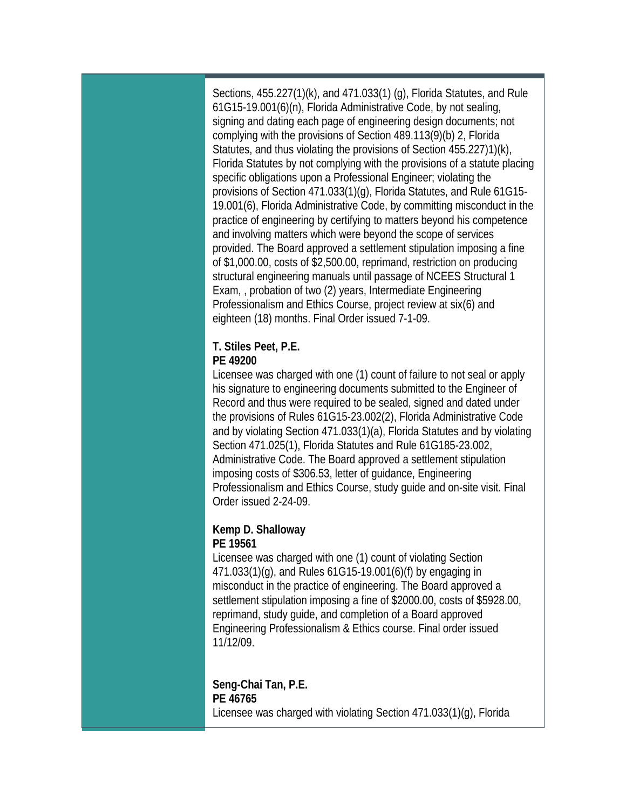Sections, 455.227(1)(k), and 471.033(1) (g), Florida Statutes, and Rule 61G15-19.001(6)(n), Florida Administrative Code, by not sealing, signing and dating each page of engineering design documents; not complying with the provisions of Section 489.113(9)(b) 2, Florida Statutes, and thus violating the provisions of Section 455.227)1)(k), Florida Statutes by not complying with the provisions of a statute placing specific obligations upon a Professional Engineer; violating the provisions of Section 471.033(1)(g), Florida Statutes, and Rule 61G15- 19.001(6), Florida Administrative Code, by committing misconduct in the practice of engineering by certifying to matters beyond his competence and involving matters which were beyond the scope of services provided. The Board approved a settlement stipulation imposing a fine of \$1,000.00, costs of \$2,500.00, reprimand, restriction on producing structural engineering manuals until passage of NCEES Structural 1 Exam, , probation of two (2) years, Intermediate Engineering Professionalism and Ethics Course, project review at six(6) and eighteen (18) months. Final Order issued 7-1-09.

#### **T. Stiles Peet, P.E. PE 49200**

Licensee was charged with one (1) count of failure to not seal or apply his signature to engineering documents submitted to the Engineer of Record and thus were required to be sealed, signed and dated under the provisions of Rules 61G15-23.002(2), Florida Administrative Code and by violating Section 471.033(1)(a), Florida Statutes and by violating Section 471.025(1), Florida Statutes and Rule 61G185-23.002, Administrative Code. The Board approved a settlement stipulation imposing costs of \$306.53, letter of guidance, Engineering Professionalism and Ethics Course, study guide and on-site visit. Final Order issued 2-24-09.

#### **Kemp D. Shalloway PE 19561**

Licensee was charged with one (1) count of violating Section 471.033(1)(g), and Rules 61G15-19.001(6)(f) by engaging in misconduct in the practice of engineering. The Board approved a settlement stipulation imposing a fine of \$2000.00, costs of \$5928.00, reprimand, study guide, and completion of a Board approved Engineering Professionalism & Ethics course. Final order issued 11/12/09.

**Seng-Chai Tan, P.E. PE 46765**  Licensee was charged with violating Section 471.033(1)(g), Florida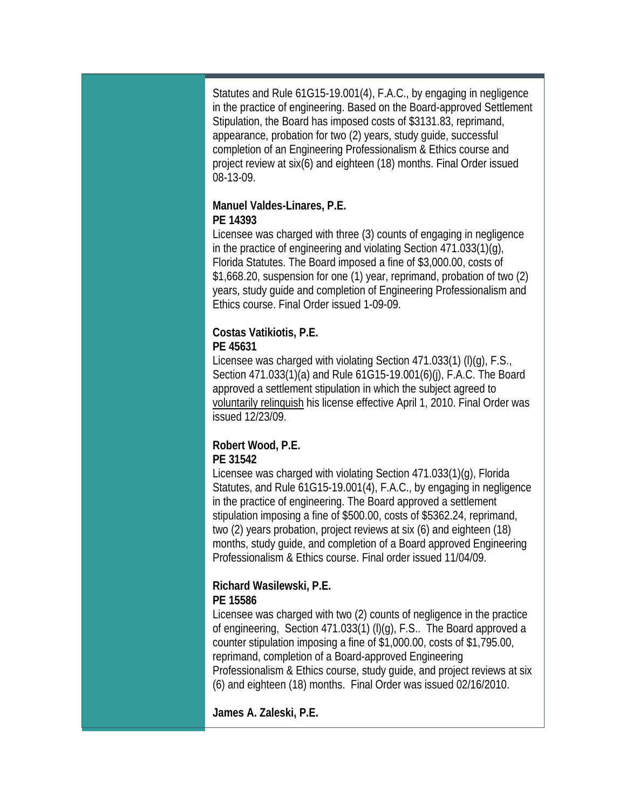Statutes and Rule 61G15-19.001(4), F.A.C., by engaging in negligence in the practice of engineering. Based on the Board-approved Settlement Stipulation, the Board has imposed costs of \$3131.83, reprimand, appearance, probation for two (2) years, study guide, successful completion of an Engineering Professionalism & Ethics course and project review at six(6) and eighteen (18) months. Final Order issued 08-13-09.

#### **Manuel Valdes-Linares, P.E. PE 14393**

Licensee was charged with three (3) counts of engaging in negligence in the practice of engineering and violating Section 471.033(1)(g), Florida Statutes. The Board imposed a fine of \$3,000.00, costs of \$1,668.20, suspension for one (1) year, reprimand, probation of two (2) years, study guide and completion of Engineering Professionalism and Ethics course. Final Order issued 1-09-09.

## **Costas Vatikiotis, P.E.**

### **PE 45631**

Licensee was charged with violating Section 471.033(1) (l)(g), F.S., Section 471.033(1)(a) and Rule 61G15-19.001(6)(j), F.A.C. The Board approved a settlement stipulation in which the subject agreed to voluntarily relinquish his license effective April 1, 2010. Final Order was issued 12/23/09.

#### **Robert Wood, P.E. PE 31542**

Licensee was charged with violating Section 471.033(1)(g), Florida Statutes, and Rule 61G15-19.001(4), F.A.C., by engaging in negligence in the practice of engineering. The Board approved a settlement stipulation imposing a fine of \$500.00, costs of \$5362.24, reprimand, two (2) years probation, project reviews at six (6) and eighteen (18) months, study guide, and completion of a Board approved Engineering Professionalism & Ethics course. Final order issued 11/04/09.

## **Richard Wasilewski, P.E.**

### **PE 15586**

Licensee was charged with two (2) counts of negligence in the practice of engineering, Section 471.033(1) (l)(g), F.S.. The Board approved a counter stipulation imposing a fine of \$1,000.00, costs of \$1,795.00, reprimand, completion of a Board-approved Engineering Professionalism & Ethics course, study guide, and project reviews at six (6) and eighteen (18) months. Final Order was issued 02/16/2010.

**James A. Zaleski, P.E.**